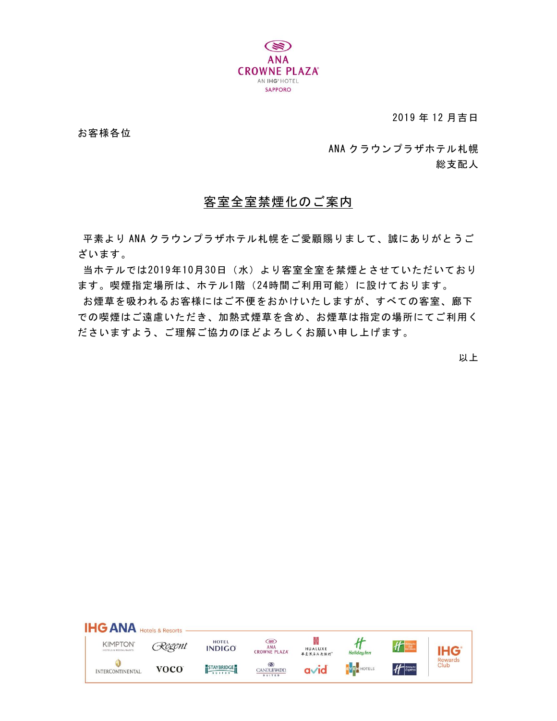

2019 年 12 月吉日

お客様各位

ANA クラウンプラザホテル札幌 総支配人

## 客室全室禁煙化のご案内

平素より ANA クラウンプラザホテル札幌をご愛顧賜りまして、誠にありがとうご ざいます。

当ホテルでは2019年10月30日(水)より客室全室を禁煙とさせていただいており ます。喫煙指定場所は、ホテル1階(24時間ご利用可能)に設けております。

お煙草を吸われるお客様にはご不便をおかけいたしますが、すべての客室、廊下 での喫煙はご遠慮いただき、加熱式煙草を含め、お煙草は指定の場所にてご利用く ださいますよう、ご理解ご協力のほどよろしくお願い申し上げます。

以上

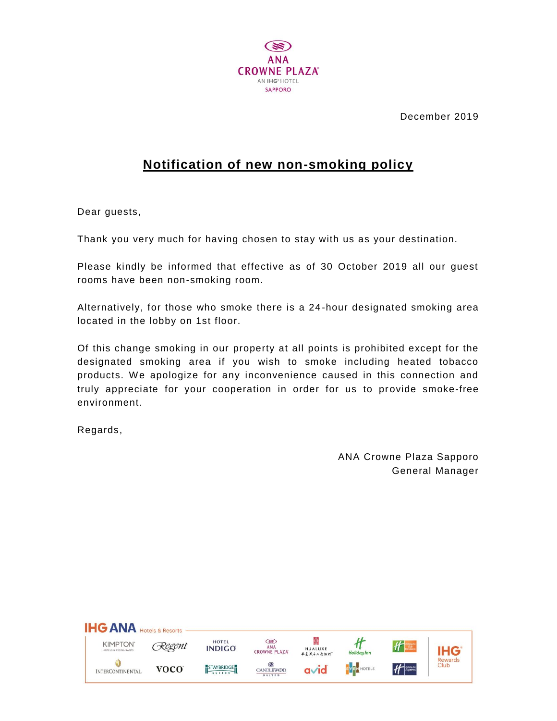

December 2019

## **Notification of new non-smoking policy**

Dear guests,

Thank you very much for having chosen to stay with us as your destination.

Please kindly be informed that effective as of 30 October 2019 all our guest rooms have been non-smoking room.

Alternatively, for those who smoke there is a 24 -hour designated smoking area located in the lobby on 1st floor.

Of this change smoking in our property at all points is prohibited except for the designated smoking area if you wish to smoke including heated tobacco products. We apologize for any inconvenience caused in this connection and truly appreciate for your cooperation in order for us to provide smoke-free environment.

Regards,

ANA Crowne Plaza Sapporo General Manager

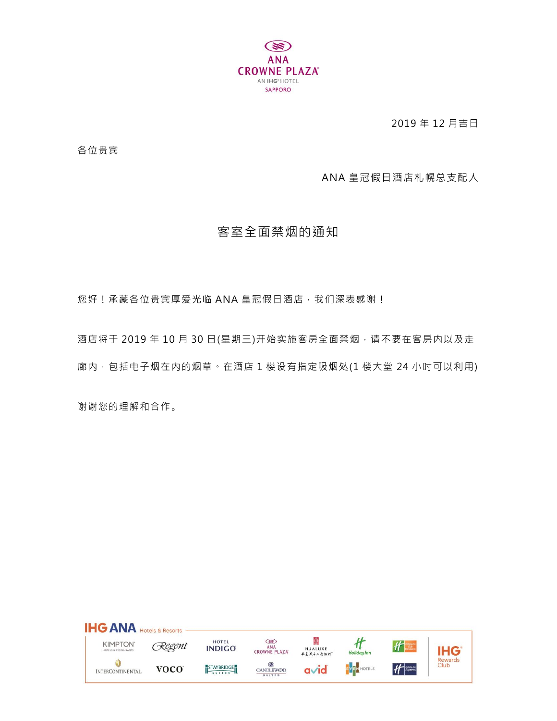

2019 年 12 月吉日

各位贵宾

ANA 皇冠假日酒店札幌总支配人

## 客室全面禁烟的通知

您好!承蒙各位贵宾厚爱光临 ANA 皇冠假日酒店, 我们深表感谢!

酒店将于 2019 年 10 月 30 日(星期三)开始实施客房全面禁烟,请不要在客房内以及走 廊内, 包括电子烟在内的烟草。在酒店 1 楼设有指定吸烟处(1 楼大堂 24 小时可以利用)

谢谢您的理解和合作。